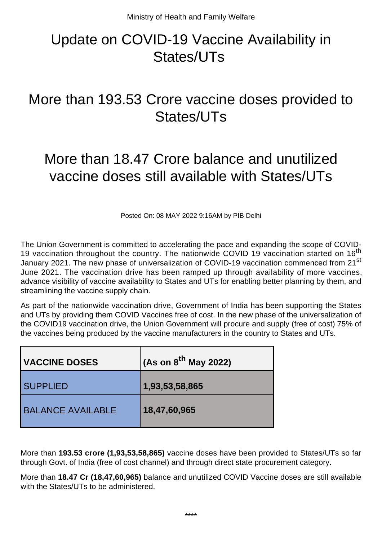## Update on COVID-19 Vaccine Availability in States/UTs

## More than 193.53 Crore vaccine doses provided to States/UTs

## More than 18.47 Crore balance and unutilized vaccine doses still available with States/UTs

Posted On: 08 MAY 2022 9:16AM by PIB Delhi

The Union Government is committed to accelerating the pace and expanding the scope of COVID-19 vaccination throughout the country. The nationwide COVID 19 vaccination started on 16<sup>th</sup> January 2021. The new phase of universalization of COVID-19 vaccination commenced from 21<sup>st</sup> June 2021. The vaccination drive has been ramped up through availability of more vaccines, advance visibility of vaccine availability to States and UTs for enabling better planning by them, and streamlining the vaccine supply chain.

As part of the nationwide vaccination drive, Government of India has been supporting the States and UTs by providing them COVID Vaccines free of cost. In the new phase of the universalization of the COVID19 vaccination drive, the Union Government will procure and supply (free of cost) 75% of the vaccines being produced by the vaccine manufacturers in the country to States and UTs.

| <b>VACCINE DOSES</b>     | $\sim$ (As on 8 <sup>th</sup> May 2022) |
|--------------------------|-----------------------------------------|
| <b>SUPPLIED</b>          | 1,93,53,58,865                          |
| <b>BALANCE AVAILABLE</b> | 18,47,60,965                            |

More than **193.53 crore (1,93,53,58,865)** vaccine doses have been provided to States/UTs so far through Govt. of India (free of cost channel) and through direct state procurement category.

More than **18.47 Cr (18,47,60,965)** balance and unutilized COVID Vaccine doses are still available with the States/UTs to be administered.